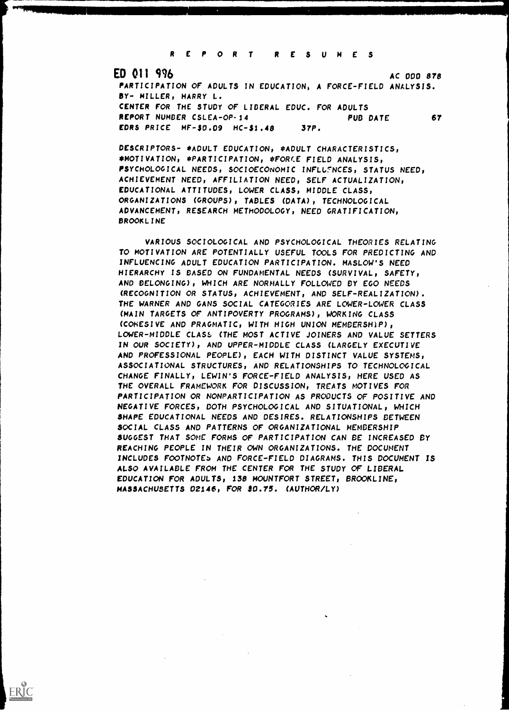R E P O R T R E S U M E S

## ED 011 996

ERIC

PARTICIPATION OF ADULTS IN EDUCATION, A FORCE-FIELD ANALYSIS. BY- MILLER, HARRY L. CENTER FOR THE STUDY OF LIBERAL EDUC. FOR ADULTS REPORT NUMBER CSLEA-OP-14 AC ODD 878 PUS DATE EDRS PRICE ME-\$0.09 HC-\$1.48 37P. 67

DESCRIPTORS- \*ADULT EDUCATION, \*ADULT CHARACTERISTICS, \*MOTIVATION, \*PARTICIPATION, \*FORCE FIELD ANALYSIS, PSYCHOLOGICAL NEEDS, SOCIOECONOMIC INFLUENCES, STATUS NEED, ACHIEVEMENT NEED, AFFILIATION NEED, SELF ACTUALIZATION, EDUCATIONAL ATTITUDES, LOWER CLASS, MIDDLE CLASS, ORGANIZATIONS (GROUPS), TABLES (DATA), TECHNOLOGICAL ADVANCEMENT, RESEARCH METHODOLOGY, NEED GRATIFICATION, **BROOKLINE** 

VARIOUS SOCIOLOGICAL AND PSYCHOLOGICAL THEORIES RELATING TO MOTIVATION ARE POTENTIALLY USEFUL TOOLS FOR PREDICTING AND INFLUENCING ADULT EDUCATION PARTICIPATION. MASLOW'S NEED HIERARCHY IS BASED ON FUNDAMENTAL NEEDS (SURVIVAL, SAFETY, AND BELONGING), WHICH ARE NORMALLY FOLLOWED BY EGO NEEDS (RECOGNITION OR STATUS, ACHIEVEMENT, AND SELF-REALIZATION). THE WARNER AND GANS SOCIAL CATEGORIES ARE LOWER -LOWER CLASS (MAIN TARGETS OF ANTIPOVERTY PROGRAMS), WORKING CLASS (COHESIVE AND PRAGMATIC, WITH HIGH UNION MEMBERSHIP), LOWER-MIDDLE CLASS (THE MOST ACTIVE JOINERS AND VALUE SETTERS IN OUR SOCIETY), AND UPPER-MIDDLE CLASS (LARGELY EXECUTIVE AND PROFESSIONAL PEOPLE), EACH WITH DISTINCT VALUE SYSTEMS, ASSOCIATIONAL STRUCTURES, AND RELATIONSHIPS TO TECHNOLOGICAL CHANGE FINALLY, LEWIN'S FORCE -FIELD ANALYSIS, HERE USED AS THE OVERALL FRAMEWORK FOR DISCUSSION, TREATS MOTIVES FOR PARTICIPATION OR NONPARTICIPATION AS PRODUCTS OF POSITIVE AND NEGATIVE FORCES, 00TH PSYCHOLOGICAL AND SITUATIONAL, WHICH SHAPE EDUCATIONAL NEEDS AND DESIRES. RELATIONSHIPS BETWEEN SOCIAL CLASS AND PATTERNS OF ORGANIZATIONAL MEMBERSHIP SUGGEST THAT SOME FORMS OF PARTICIPATION CAN BE INCREASED EY REACHING PEOPLE IN THEIR OWN ORGANIZATIONS. THE DOCUMENT INCLUDES FOOTNOTES AND FORCE -FIELD DIAGRAMS. THIS DOCUMENT IS ALSO AVAILABLE FROM THE CENTER FOR THE STUDY OF LIBERAL EDUCATION FOR ADULTS, 138 MOUNTFORT STREET, BROOKLINE, MASSACHUSETTS 02146, FOR \$0.75. (AUTHOR/LY)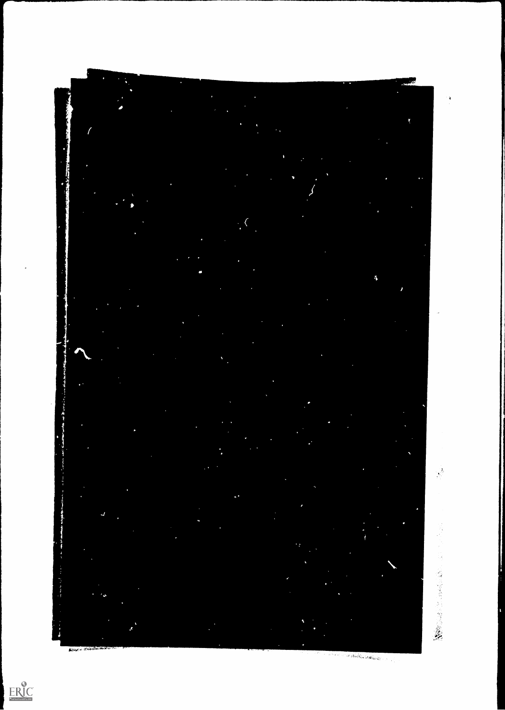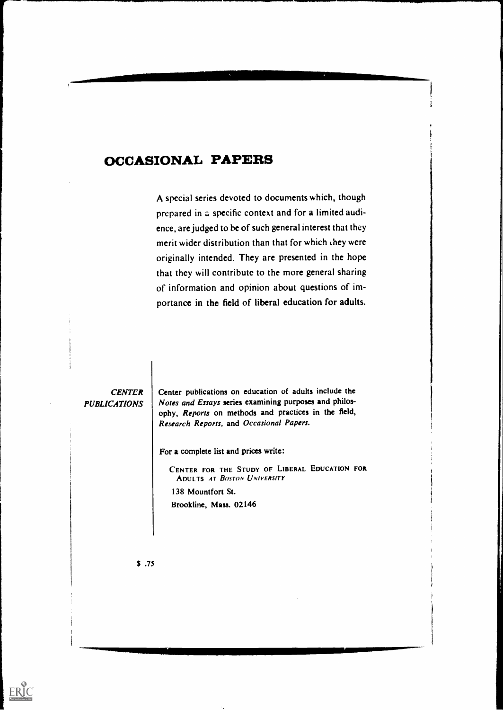# OCCASIONAL PAPERS

A special series devoted to documents which, though prepared in a specific context and for a limited audience, are judged to be of such general interest that they merit wider distribution than that for which they were originally intended. They are presented in the hope that they will contribute to the more general sharing of information and opinion about questions of importance in the field of liberal education for adults.

PUBLICATIONS

CENTER  $\vert$  Center publications on education of adults include the Notes and Essays series examining purposes and philosophy, Reports on methods and practices in the field, Research Reports, and Occasional Papers.

For a complete list and prices write:

CENTER FOR THE STUDY OF LIBERAL EDUCATION FOR ADULTS AT BOSTON UNIVERSITY 138 Mountfort St.

Brookline, Mass. 02146

\$ .75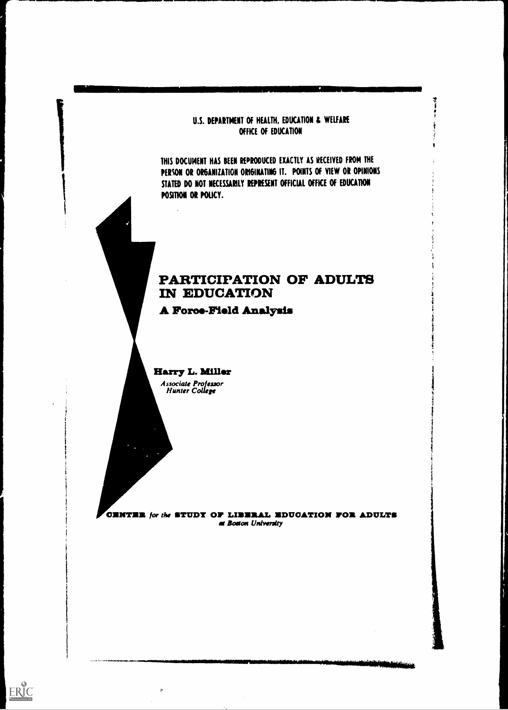## U.S. DEPARTMENT OF HEALTH, EDUCATION & WELFARE OFFICE OF EDUCATION

THIS DOCUMENT HAS BEEN REPRODUCED EXACTLY AS RECEIVED FROM THE PERSON OR ORGANIZATION ORIGINATING IT. POINTS OF VIEW OR OPINIONS STATED DO NOT NECESSARILY REPRESENT OFFICIAL OFFICE OF EDUCATION POSITION OR POLICY.

# PARTICIPATION OF ADULTS IN EDUCATION

A Foroe-Field Analysis

### Harry L. Miller

 $\ddot{\phantom{a}}$ 

Associate Professor Hunter Colle**ge** results to the *Hunter* College

 $\overline{\psi}$ 

CENTER for the STUDY OF LIBERAL EDUCATION FOR ADULTS at Boston University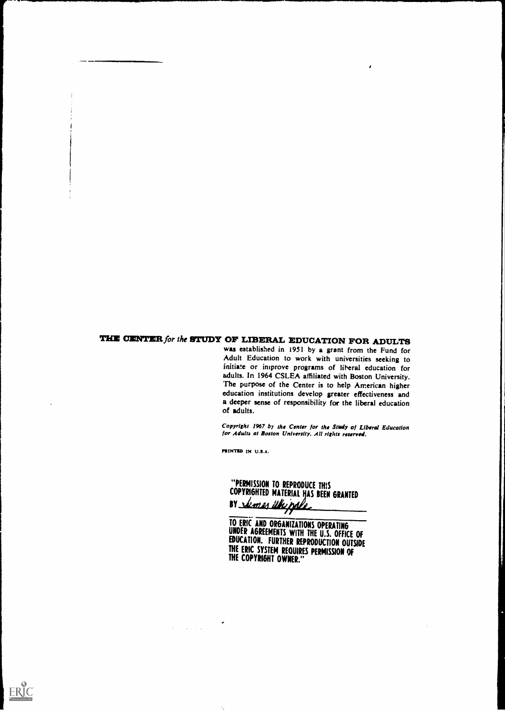# THE CENTER for the STUDY OF LIBERAL EDUCATION FOR ADULTS

was established in 1951 by a grant from the Fund for Adult Education to work with universities seeking to initiate or improve programs of liberal education for adults. In 1964 CSLEA affiliated with Boston University. The purpose of the Center is to help American higher education institutions develop greater effectiveness and a deeper sense of responsibility for the liberal education of adults.

Copyright 1967 by the Center for the Study of Liberal Education for Adults at Boston University. All rights reserved.

PRINTED IN U.S.A.

 $\sum_{\lambda_{\text{full text} \text{ } \text{prod}}}\prod_{\text{even} \text{ and } \text{even}}$ 

"PERMISSION TO REPRODUCE THIS COPYRIGHTED MATERIAL HAS BEEN GRANTED BY semes ultipale

TO ERIC AND ORGANIZATIONS OPERATING UNDER AGREEMENTS WITH THE U.S. OFFICE OF EDUCATION. FURTHER REPRODUCTION OUTSIDE THE ERIC SYSTEM REQUIRES PERMISSION OF THE COPYRIGHT OWNER."

 $\sim 10$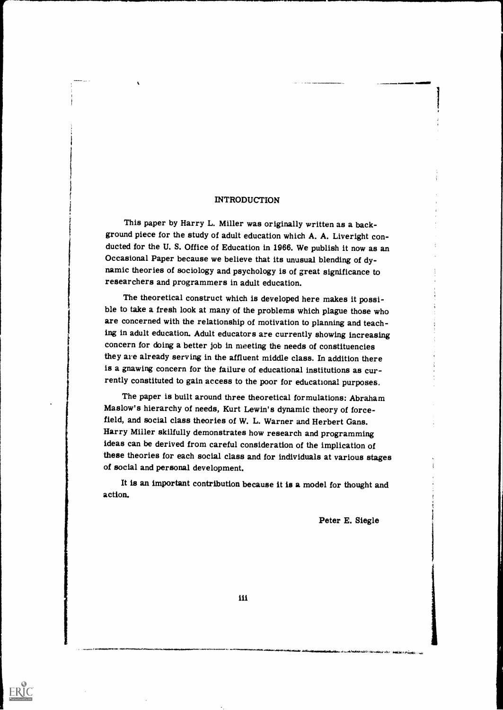#### INTRODUCTION

This paper by Harry L. Miller was originally written as a background piece for the study of adult education which A. A. Liveright conducted for the U. S. Office of Education in 1966. We publish it now as an Occasional Paper because we believe that its unusual blending of dynamic theories of sociology and psychology is of great significance to researchers and programmers in adult education.

The theoretical construct which is developed here makes it possible to take a fresh look at many of the problems which plague those who are concerned with the relationship of motivation to planning and teaching in adult education. Adult educators are currently showing increasing concern for doing a better job in meeting the needs of constituencies they are already serving in the affluent middle class. In addition there is a gnawing concern for the failure of educational institutions as currently constituted to gain access to the poor for educational purposes.

The paper is built around three theoretical formulations: Abraham Maslow's hierarchy of needs, Kurt Lewin's dynamic theory of forcefield, and social class theories of W. L. Warner and Herbert Gans. Harry Miller skilfully demonstrates how research and programming ideas can be derived from careful consideration of the implication of these theories for each social class and for individuals at various stages of social and personal development.

It is an important contribution because it is a model for thought and action.

Peter E. Siegle

iii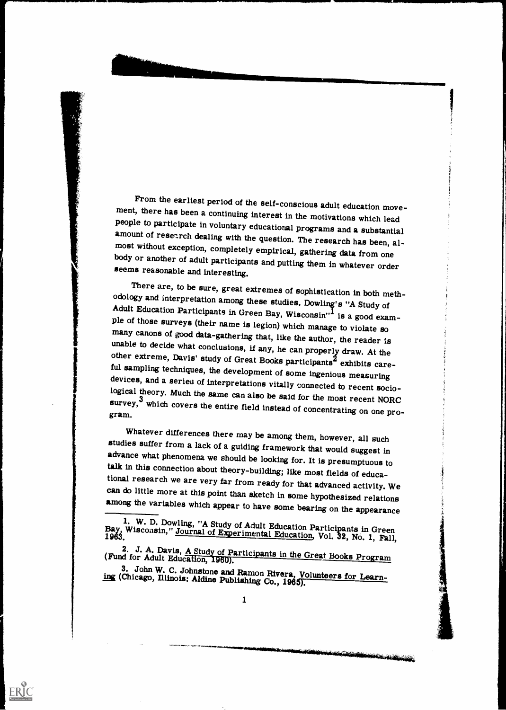From the earliest period of the self-conscious adult education move-<br>ment, there has been a continuing interest in the motivations which lead<br>people to participate in voluntary educational programs and a substantial<br>amount

There are, to be sure, great extremes of sophistication in both meth-<br>odology and interpretation among these studies. Dowling's "A Study of<br>Adult Education Participants in Green Bay, Wisconsin"<sup>1</sup> is a good exam-<br>ple of t

Whatever differences there may be among them, however, all such<br>studies suffer from a lack of a guiding framework that would suggest in<br>advance what phenomena we should be looking for. It is presumptuous to<br>talk in this co

3. John W. C. Johnstone and Ramon Rivera, Volunteers for Learn-<br>ing (Chicago, Illinois: Aldine Publishing Co., 1965).

<sup>1.</sup> W. D. Dowling, "A Study of Adult Education Participants in Green Bay, Wisconsin," Journal of Experimental Education, Vol. 32, No. 1, Fall,

<sup>2.</sup> J. A. Davis, A Study of Participants in the Great Books Program (Fund for Adult Education, 1960).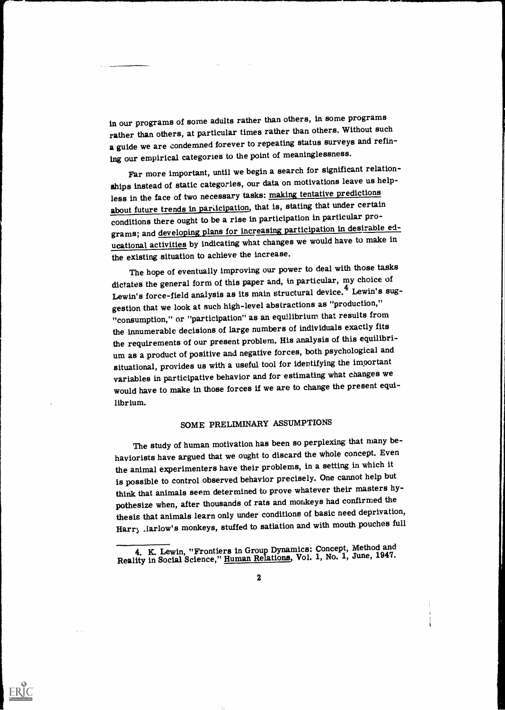in our programs of some adults rather than others, in some programs rather than others, at particular times rather than others. Without such a guide we are condemned forever to repeating status surveys and refining our empirical categories to the point of meaninglessness.

1.41111.1.11115

Far more important, until we begin a search for significant relationships instead of static categories, our data on motivations leave us helpless in the face of two necessary tasks: making tentative predictions about future trends in participation, that is, stating that under certain conditions there ought to be a rise in participation in particular programs; and developing plans for increasing participation in desirable educational activities by indicating what changes we would have to make in the existing situation to achieve the increase.

The hope of eventually improving our power to deal with those tasks dictates the general form of this paper and, in particular, my choice of Lewin's force-field analysis as its main structural device.<sup>4</sup> Lewin's suggestion that we look at such high-level abstractions as "production," "consumption," or "participation" as an equilibrium that results from the innumerable decisions of large numbers of individuals exactly fits the requirements of our present problem. His analysis of this equilibrium as a product of positive and negative forces, both psychological and situational, provides us with a useful tool for identifying the important variables in participative behavior and for estimating what changes we would have to make in those forces if we are to change the present equilibrium.

# SOME PRELIMINARY ASSUMPTIONS

The study of human motivation has been so perplexing that many behaviorists have argued that we ought to discard the whole concept. Even the animal experimenters have their problems, in a setting in which it is possible to control observed behavior precisely. One cannot help but think that animals seem determined to prove whatever their masters hypothesize when, after thousands of rats and monkeys had confirmed the thesis that animals learn only under conditions of basic need deprivation, Harry Harlow's monkeys, stuffed to satiation and with mouth pouches full



<sup>4.</sup> K. Lewin, "Frontiers in Group Dynamics: Concept, Method and Reality in Social Science," Human Relations, Vol. 1, No. 1, June, 1947.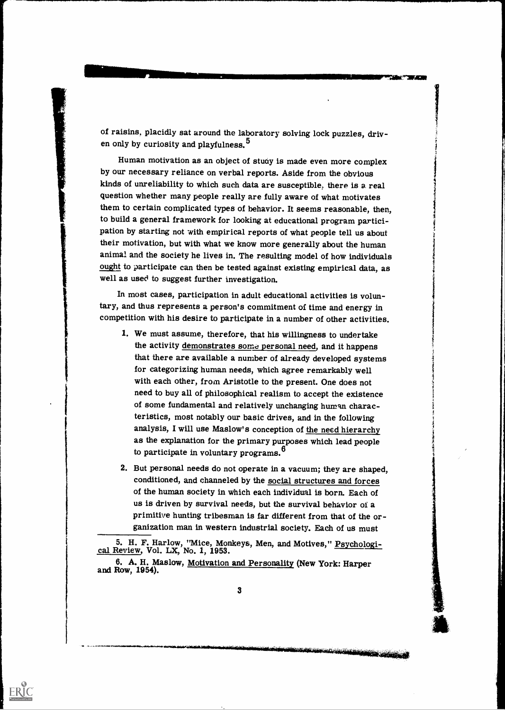of raisins, placidly sat around the laboratory solving lock puzzles, driven only by curiosity and playfulness.<sup>5</sup>

'n11,101

Human motivation as an object of stuay is made even more complex by our necessary reliance on verbal reports. Aside from the obvious kinds of unreliability to which such data are susceptible, there is a real question whether many people really are fully aware of what motivates them to certain complicated types of behavior. It seems reasonable, then, to build a general framework for looking at educational program participation by starting not with empirical reports of what people tell us about their motivation, but with what we know more generally about the human animal and the society he lives in. The resulting model of how individuals ought to participate can then be tested against existing empirical data, as well as used to suggest further investigation.

In most cases, participation in adult educational activities is voluntary, and thus represents a person's commitment of time and energy in competition with his desire to participate in a number of other activities.

- 1. We must assume, therefore, that his willingness to undertake the activity demonstrates some personal need, and it happens that there are available a number of already developed systems for categorizing human needs, which agree remarkably well with each other, from Aristotle to the present. One does not need to buy all of philosophical realism to accept the existence of some fundamental and relatively unchanging human characteristics, most notably our basic drives, and in the following analysis, I will use Maslow's conception of the need hierarchy as the explanation for the primary purposes which lead people to participate in voluntary programs.<sup>6</sup>
- 2. But personal needs do not operate in a vacuum; they are shaped, conditioned, and channeled by the social structures and forces of the human society in which each individual is born. Each of us is driven by survival needs, but the survival behavior of a primitive hunting tribesman is far different from that of the organization man in western industrial society. Each of us must

<sup>5.</sup> H. F. Harlow, "Mice, Monkeys, Men, and Motives," Psychologi- cal Review, Vol. LX, No. 1, 1953.

<sup>6.</sup> A. H. Maslow, Motivation and Personality (New York: Harper and Row, 1954).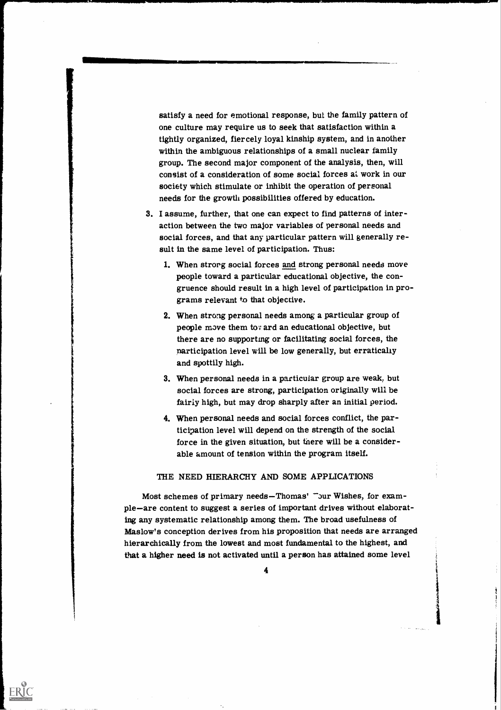satisfy a need for emotional response, but the family pattern of one culture may require us to seek that satisfaction within a tightly organized, fiercely loyal kinship system, and in another within the ambiguous relationships of a small nuclear family group. The second major component of the analysis, then, will consist of a consideration of some social forces at work in our society which stimulate or inhibit the operation of personal needs for the growth possibilities offered by education.

- 3. I assume, further, that one can expect to find patterns of interaction between the two major variables of personal needs and social forces, and that any particular pattern will generally result in the same level of participation. Thus:
	- 1. When strorg social forces and strong personal needs move people toward a particular educational objective, the congruence should result in a high level of participation in programs relevant to that objective.
	- 2. When strong personal needs among a particular group of people move them toy and an educational objective, but there are no supporting or facilitating social forces, the participation level will be low generally, but erratically and spottily high.
	- 3. When personal needs in a particular group are weak, but social forces are strong, participation originally will be fairly high, but may drop sharply after an initial period.
	- 4. When personal needs and social forces conflict, the participation level will depend on the strength of the social force in the given situation, but there will be a considerable amount of tension within the program itself.

THE NEED HIERARCHY AND SOME APPLICATIONS

Most schemes of primary needs-Thomas' "bur Wishes, for example-are content to suggest a series of important drives without elaborating any systematic relationship among them. The broad usefulness of Maslow's conception derives from his proposition that needs are arranged hierarchically from the lowest and most fundamental to the highest, and that a higher need is not activated until a person has attained some level

4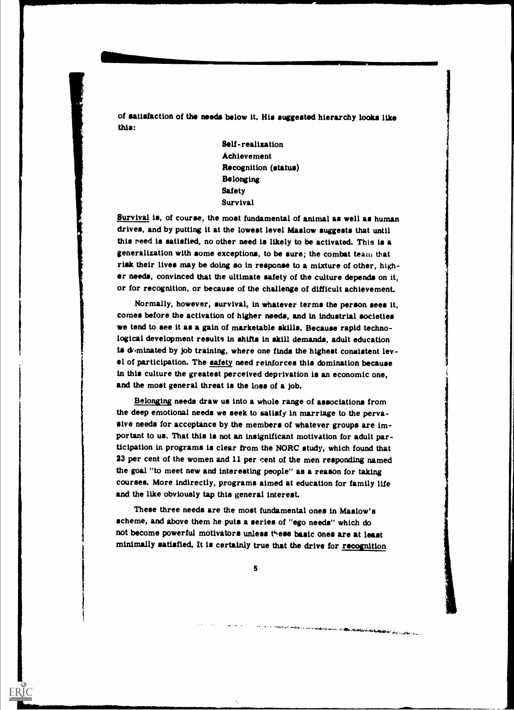of satisfaction of the needs below it. His suggested hierarchy looks like this:

41111Sirim-\_\_

Self-realization Achievement Recognition (status) Belonging **Safety** Survival

Survival is, of course, the most fundamental of animal as well as human drives, and by putting it at the lowest level Maslow suggests that until this reed is satisfied, no other need is likely to be activated. This is a generalization with some exceptions, to be sure; the combat team that risk their lives may be doing so in response to a mixture of other, higher needs, convinced that the ultimate safety of the culture depends on it, or for recognition, or because of the challenge of difficult achievement.

Normally, however, survival, in whatever terms the person sees it, comes before the activation of higher needs, and in industrial societies we tend to see it as a gain of marketable skills. Because rapid technological development results in shifts in skill demands, adult education is dominated by job training, where one finds the highest consistent level of participation. The safety need reinforces this domination because in this culture the greatest perceived deprivation is an economic one, and the most general threat is the loss of a job.

Belonging needs draw us into a whole range of associations from the deep emotional needs we seek to satisfy in marriage to the pervasive needs for acceptance by the members of whatever groups are important to us. That this is not an insignificant motivation for adult participation in programs is clear from the NORC study, which found that 23 per cent of the women and 11 per cent of the men responding named the goal "to meet new and interesting people" as a reason for taking courses. More indirectly, programs aimed at education for family life and the like obviously tap this general interest.

These three needs are the most fundamental ones in Maslow's scheme, and above them he puts a series of "ego needs" which do not become powerful motivators unless these basic ones are at least minimally satisfied. It is certainly true that the drive for recognition

who leadership pare on the Constitution of the Constitution of the Constitution of the Constitution of the Con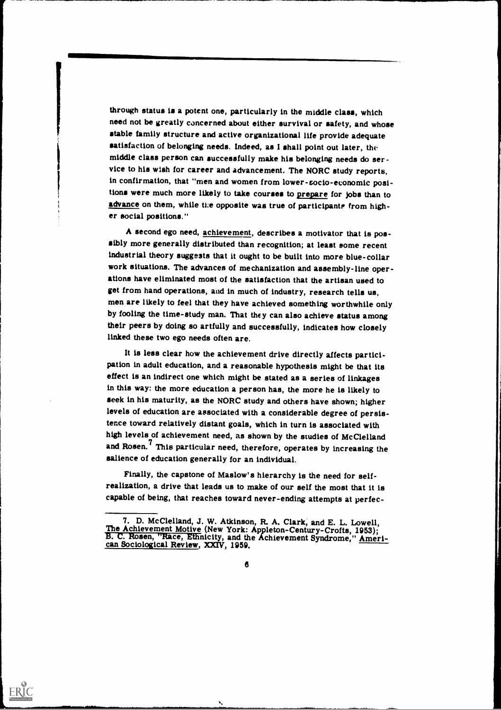$\mathbf{I}$  at through status is a potent one, particularly in the middle class, which need not be greatly concerned about either survival or safety, and whose stable family structure and active organizational life provide adequate satisfaction of belonging needs. Indeed, as I shall point out later, the middle class person can successfully make his belonging needs do service to his wish for career and advancement. The NORC study reports, in confirmation, that "men and women from lower-socio-economic positions were much more likely to take courses to prepare for jobs than to advance on them, while the opposite was true of participants from higher social positions."

> A second ego need, achievement, describes a motivator that is possibly more generally distributed than recognition; at least some recent industrial theory suggests that it ought to be built into more blue-collar work situations. The advances of mechanization and assembly-line operations have eliminated most of the satisfaction that the artisan used to get from hand operations, and in much of industry, research tells us, men are likely to feel that they have achieved something worthwhile only by fooling the time-study man. That they can also achieve status among their peers by doing so artfully and successfully, indicates how closely linked these two ego needs often are.

It is less clear how the achievement drive directly affects participation in adult education, and a reasonable hypothesis might be that its effect is an indirect one which might be stated as a series of linkages in this way: the more education a person has, the more he is likely to seek in his maturity, as the NORC study and others have shown; higher levels of education are associated with a considerable degree of persistence toward relatively distant goals, which in turn is associated with high levels of achievement need, as shown by the studies of McClelland and Rosen.<sup>7</sup> This particular need, therefore, operates by increasing the salience of education generally for an individual.

Finally, the capstone of Maslow's hierarchy is the need for selfrealization, a drive that leads us to make of our self the most that it is capable of being, that reaches toward never-ending attempts at perfec-

 $\bullet$ 



<sup>7.</sup> D. McClelland, J. W. Atkinson, R. A. Clark, and E. L. Lowell, The Achievement Motive (New York: Appleton-Century-Crofts, 1953); B. C. Rosen, "Race, Ethnicity, and the Achievement Syndrome," American Sociological Review, XXIV, 1959.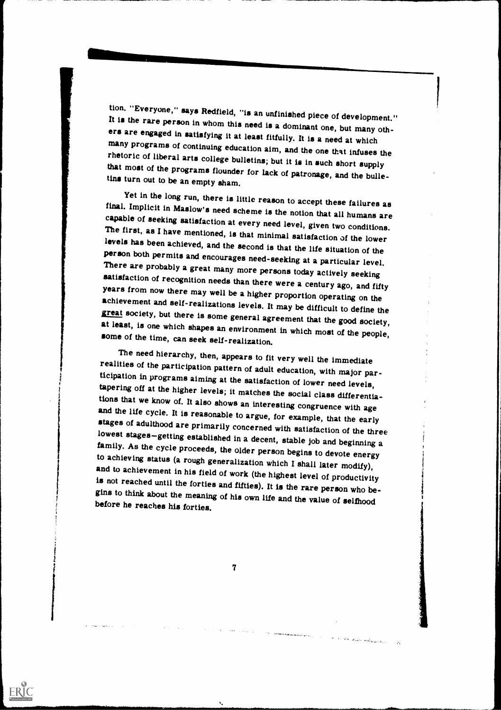tion. "Everyone," says Redfield, "is an unfinished piece of development."<br>It is the rare person in whom this need is a dominant one, but many others<br>are engaged in satisfying it at least fitfully. It is a need at which<br>man

Yet in the long run, there is little reason to accept these failures as<br>final. Implicit in Maslow's need scheme is the notion that all humans are<br>capable of seeking satisfaction at every need level, given two conditions.<br>

The need hierarchy, then, appears to fit very well the immediate<br>realities of the participation pattern of adult education, with major par-<br>ticipation in programs aiming at the satisfaction of lower need levels,<br>tapering o

7

ERIC

 $\mathbb{R} = \mathbb{E} \left[ \frac{1}{\sqrt{2}} \sum_{\mathbf{x} \in \mathcal{X}} \mathbb{E} \left[ \frac{1}{\sqrt{2}} \sum_{\mathbf{x} \in \mathcal{X}} \mathbb{E} \left[ \frac{1}{\sqrt{2}} \sum_{\mathbf{x} \in \mathcal{X}} \mathbb{E} \left[ \frac{1}{\sqrt{2}} \sum_{\mathbf{x} \in \mathcal{X}} \mathbb{E} \left[ \frac{1}{\sqrt{2}} \sum_{\mathbf{x} \in \mathcal{X}} \mathbb{E} \left[ \frac{1}{\sqrt{2}} \sum_{\mathbf{x} \in \mathcal{X}} \mathbb$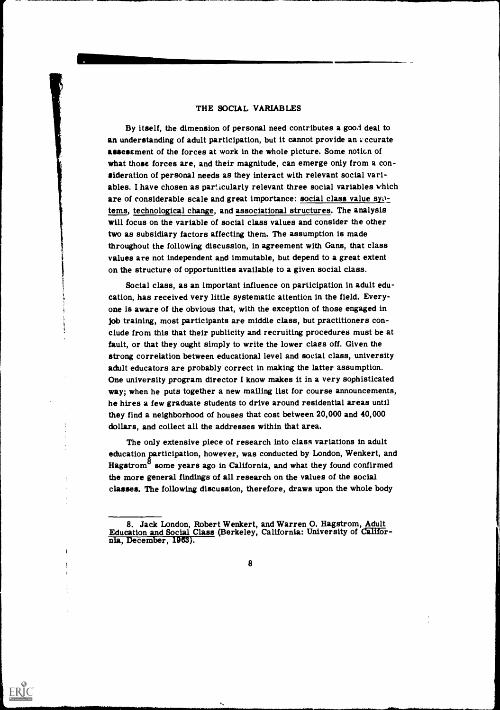#### THE SOCIAL VARIABLES

By itself, the dimension of personal need contributes a good deal to an understanding of adult participation, but it cannot provide an  $c$  ccurate assessment of the forces at work in the whole picture. Some notion of what those forces are, and their magnitude, can emerge only from a consideration of personal needs as they interact with relevant social variables. I have chosen as particularly relevant three social variables which are of considerable scale and great importance: social class value sydtems, technological change, and associational structures. The analysis will focus on the variable of social class values and consider the other two as subsidiary factors affecting them. The assumption is made throughout the following discussion, in agreement with Gans, that class values are not independent and immutable, but depend to a great extent on the structure of opportunities available to a given social class.

Social class, as an important influence on participation in adult education, has received very little systematic attention in the field. Everyone is aware of the obvious that, with the exception of those engaged in job training, most participants are middle class, but practitioners conclude from this that their publicity and recruiting procedures must be at fault, or that they ought simply to write the lower claes off. Given the strong correlation between educational level and social class, university adult educators are probably correct in making the latter assumption. One university program director I know makes it in a very sophisticated way; when he puts together a new mailing list for course announcements, he hires a few graduate students to drive around residential areas until they find a neighborhood of houses that cost between 20,000 and 40,000 dollars, and collect all the addresses within that area.

The only extensive piece of research into class variations in adult education participation, however, was conducted by London, Wenkert, and Hagstrom<sup> $\sigma$ </sup> some years ago in California, and what they found confirmed the more general findings of all research on the values of the social classes. The following discussion, therefore, draws upon the whole body

<sup>8.</sup> Jack London, Robert Wenkert, and Warren O. Hagstrom, Adult Education and Social Class (Berkeley, California: University of Califor- nia, December, 1983).

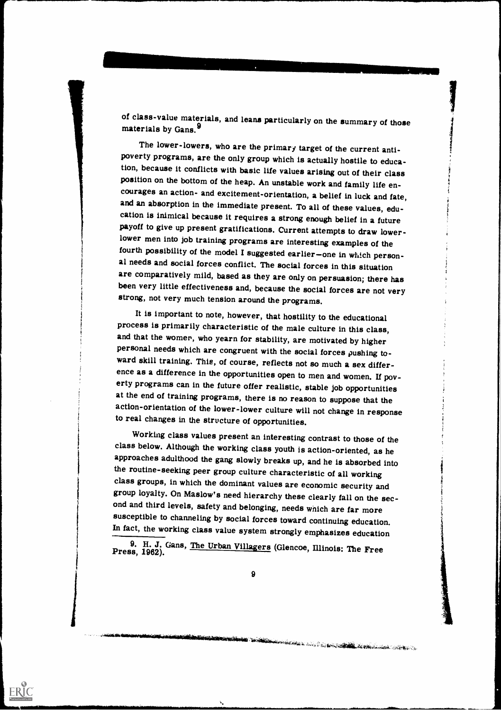of class-value materials, and leans particularly on the summary of those materials by Gans.  $9$ 

The lower-lowers, who are the primary target of the current antipoverty programs, are the only group which is actually hostile to education, because it conflicts with basic life values arising out of their class position on the bottom of the heap. An unstable work and family life encourages an action- and excitement-orientation, a belief in luck and fate, and an absorption in the immediate present. To all of these values, edu-<br>cation is inimical because it requires a strong enough belief in a future payoff to give up present gratifications. Current attempts to draw lowerlower men into job training programs are interesting examples of the fourth possibility of the model I suggested earlier—one in which personal needs and social forces conflict. The social forces in this situation are comparatively mild, based as they are only on persuasion; there has been very little effectiveness and, because the social forces are not very strong, not very much tension around the programs.

It is important to note, however, that hostility to the educational process is primarily characteristic of the male culture in this class, and that the women, who yearn for stability, are motivated by higher<br>personal needs which are congruent with the social forces pushing to-<br>ward skill training. This, of course, reflects not so much a sex differ-<br>ence as a erty programs can in the future offer realistic, stable job opportunities<br>at the end of training programs, there is no reason to suppose that the<br>action-orientation of the lower-lower culture will not change in response to real changes in the structure of opportunities.

Working class values present an interesting contrast to those of the class below. Although the working class youth is action-oriented, as he the routine-seeking peer group culture characteristic of all working class groups, in which the dominant values are economic security and group loyalty. On Maslow's need hierarchy these clearly fall on the second and third levels, safety and belonging, needs which are far more susceptible to channeling by social forces toward continuing education. In fact, the working class value system strongly emphasizes education

9. H. J. Gans, The Urban Villagers (Glencoe, Illinois: The Free Press, 1962).

**D** Second Line

ERIC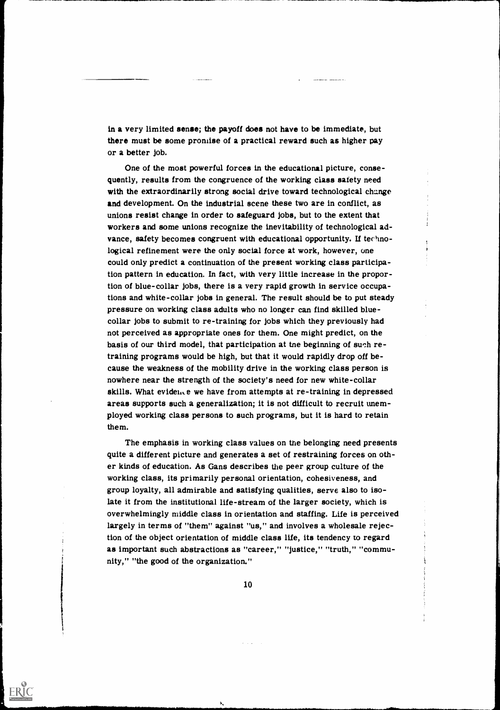in a very limited sense; the payoff does not have to be immediate, but there must be some promise of a practical reward such as higher pay or a better job.

One of the most powerful forces in the educational picture, consequently, results from the congruence of the working class safety need with the extraordinarily strong social drive toward technological change and development. On the industrial scene these two are in conflict, as unions resist change in order to safeguard jobs, but to the extent that workers and some unions recognize the inevitability of technological advance, safety becomes congruent with educational opportunity. If technological refinement were the only social force at work, however, one could only predict a continuation of the present working class participation pattern in education. In fact, with very little increase in the proportion of blue-collar jobs, there is a very rapid growth in service occupations and white-collar jobs in general. The result should be to put steady pressure on working class adults who no longer can find skilled bluecollar jobs to submit to re-training for jobs which they previously had not perceived as appropriate ones for them. One might predict, on the basis of our third model, that participation at tne beginning of such retraining programs would be high, but that it would rapidly drop off because the weakness of the mobility drive in the working class person is nowhere near the strength of the society's need for new white-collar skills. What evidence we have from attempts at re-training in depressed areas supports such a generalization; it is not difficult to recruit unemployed working class persons to such programs, but it is hard to retain them.

The emphasis in working class values on the belonging need presents quite a different picture and generates a set of restraining forces on other kinds of education. As Gans describes the peer group culture of the working class, its primarily personal orientation, cohesiveness, and group loyalty, all admirable and satisfying qualities, serve also to isolate it from the institutional life-stream of the larger society, which is overwhelmingly middle class in orientation and staffing. Life is perceived largely in terms of "them" against "us," and involves a wholesale rejection of the object orientation of middle class life, its tendency to regard as important such abstractions as "career," "justice," "truth," "community," "the good of the organization."

10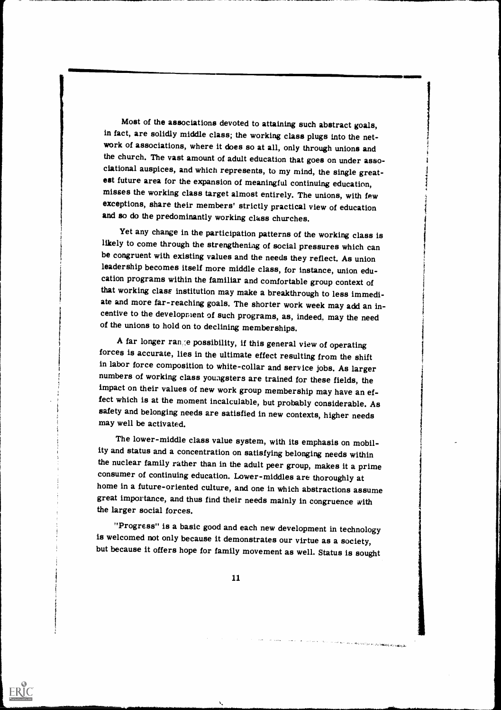Most of the associations devoted to attaining such abstract goals, in fact, are solidly middle class; the working class plugs into the network of associations, where it does so at all, only through unions and the church. The vast amount of adult education that goes on under associational auspices, and which represents, to my mind, the single greatest future area for the expansion of meaningful continuing education, misses the working class target almost entirely. The unions, with few exceptions, share their members' strictly practical view of education and so do the predominantly working class churches.

Yet any change in the participation patterns of the working class is likely to come through the strengthening of social pressures which can be congruent with existing values and the needs they reflect. As union leadership becomes itself more middle class, for instance, union education programs within the familiar and comfortable group context of that working class institution may make a breakthrough to less immediate and more far-reaching goals. The shorter work week may add an in-<br>centive to the development of such programs, as, indeed, may the need of the unions to hold on to declining memberships.

A far longer range possibility, if this general view of operating forces is accurate, lies in the ultimate effect resulting from the shift numbers of working class youngsters are trained for these fields, the impact on their values of new work group membership may have an effect which is at the moment incalculable, but probably considerable. As safety and belonging needs are satisfied in new contexts, higher needs may well be activated.

The lower-middle class value system, with its emphasis on mobility and status and a concentration on satisfying belonging needs within the nuclear family rather than in the adult peer group, makes it a prime consumer of continuing education. Lower-middles are thoroughly at home in a future-oriented culture, and one in which abstractions assume great importance, and thus find their needs mainly in congruence with the larger social forces.

"Progress" is a basic good and each new development in technology is welcomed not only because it demonstrates our virtue as a society, but because it offers hope for family movement as well. Status is sought

11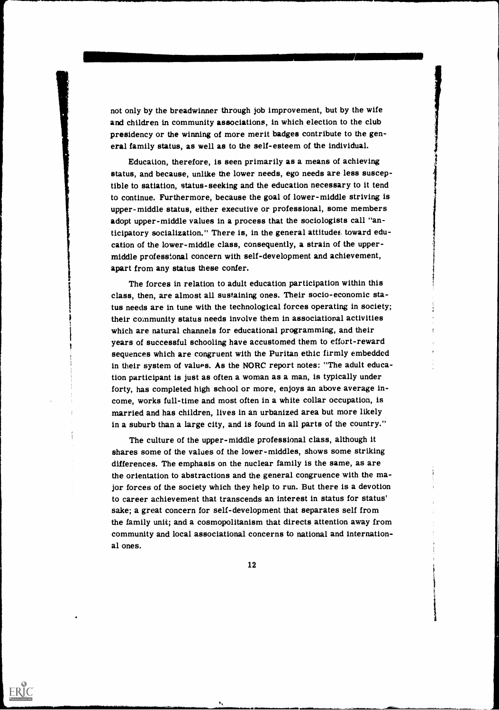not only by the breadwinner through job improvement, but by the wife and children in community associations, in which election to the club presidency or the winning of more merit badges contribute to the general family status, as well as to the self-esteem of the individual.

Education, therefore, is seen primarily as a means of achieving status, and because, unlike the lower needs, ego needs are less susceptible to satiation, status-seeking and the education necessary to it tend to continue. Furthermore, because the goal of lower-middle striving is upper-middle status, either executive or professional, some members adopt upper-middle values in a process that the sociologists call "anticipatory socialization." There is, in the general attitudes toward education of the lower-middle class, consequently, a strain of the uppermiddle professional concern with self-development and achievement, apart from any status these confer.

The forces in relation to adult education participation within this class, then, are almost all sustaining ones. Their socio-economic status needs are in tune with the technological forces operating in society; their community status needs involve them in associational activities which are natural channels for educational programming, and their years of successful schooling have accustomed them to effort-reward sequences which are congruent with the Puritan ethic firmly embedded in their system of values. As the NORC report notes: "The adult education participant is just as often a woman as a man, is typically under forty, has completed high school or more, enjoys an above average income, works full-time and most often in a white collar occupation, is married and has children, lives in an urbanized area but more likely in a suburb than a large city, and is found in all parts of the country."

The culture of the upper-middle professional class, although it shares some of the values of the lower-middles, shows some striking differences. The emphasis on the nuclear family is the same, as are the orientation to abstractions and the general congruence with the major forces of the society which they help to run. But there is a devotion to career achievement that transcends an interest in status for status' sake; a great concern for self-development that separates self from the family unit; and a cosmopolitanism that directs attention away from community and local associational concerns to national and international ones.

12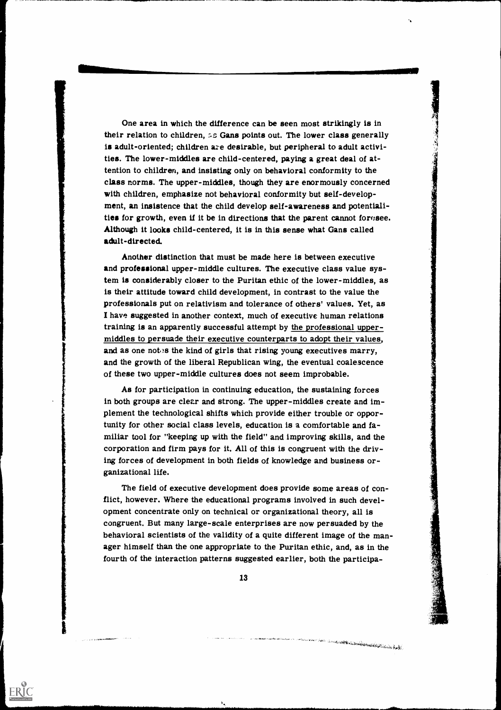One area in which the difference can be seen most strikingly is in their relation to children,  $55$  Gans points out. The lower class generally is adult-oriented; children aze desirable, but peripheral to adult activities. The lower-middles are child-centered, paying a great deal of attention to children, and insisting only on behavioral conformity to the class norms. The upper-middles, though they are enormously concerned with children, emphasize not behavioral conformity but self-development, an insistence that the child develop self-awareness and potentialities for growth, even if it be in directions that the parent cannot foresee. Although it looks child-centered, it is in this sense what Gans called adult-directed.

Another distinction that must be made here is between executive and professional upper-middle cultures. The executive class value system is considerably closer to the Puritan ethic of the lower-middles, as is their attitude toward child development, in contrast to the value the professionals put on relativism and tolerance of others' values. Yet, as I have suggested in another context, much of executive human relations training is an apparently successful attempt by the professional uppermiddles to persuade their executive counterparts to adopt their values, and as one notes the kind of girls that rising young executives marry, and the growth of the liberal Republican wing, the eventual coalescence of these two upper-middle cultures does not seem improbable.

As for participation in continuing education, the sustaining forces in both groups are clear and strong. The upper-middles create and implement the technological shifts which provide either trouble or opportunity for other social class levels, education is a comfortable and familiar tool for "keeping up with the field" and improving skills, and the corporation and firm pays for it. All of this is congruent with the driving forces of development in both fields of knowledge and business organizational life.

The field of executive development does provide some areas of conflict, however. Where the educational programs involved in such development concentrate only on technical or organizational theory, all is congruent. But many large-scale enterprises are now persuaded by the behavioral scientists of the validity of a quite different image of the manager himself than the one appropriate to the Puritan ethic, and, as in the fourth of the interaction patterns suggested earlier, both the participa-

 $\mathbf{r}_\mathrm{a}$ 

ERIC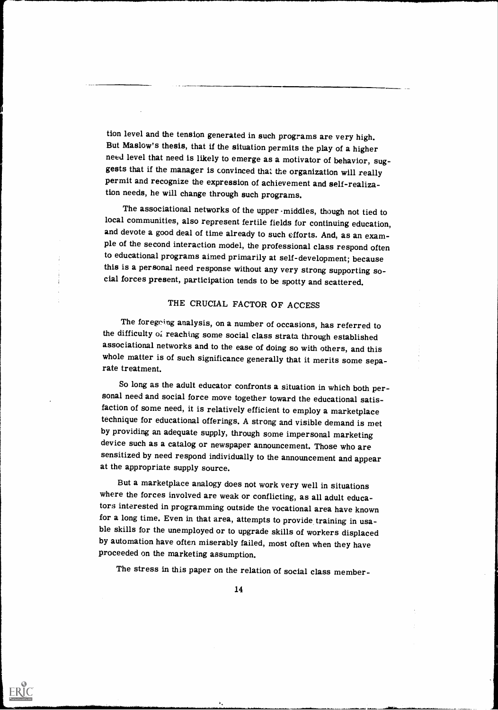tion level and the tension generated in such programs are very high.<br>But Maslow's thesis, that if the situation permits the play of a higher need level that need is likely to emerge as a motivator of behavior, sug-<br>gests that if the manager is convinced that the organization will really permit and recognize the expression of achievement and self-realization needs, he will change through such programs.

The associational networks of the upper -middles, though not tied to local communities, also represent fertile fields for continuing education, and devote a good deal of time already to such efforts. And, as an example of the second interaction model, the professional class respond often to educational programs aimed primarily at self-development; because this is a personal need response without any very strong supporting social forces present, participation tends to be spotty and scattered.

# THE CRUCIAL FACTOR OF ACCESS

The foregoing analysis, on a number of occasions, has referred to the difficulty of reaching some social class strata through established associational networks and to the ease of doing so with others, and this whole matter is of such significance generally that it merits some sepa-<br>rate treatment.

So long as the adult educator confronts a situation in which both per- sonal need and social force move together toward the educational satisfaction of some need, it is relatively efficient to employ a marketplace technique for educational offerings. A strong and visible demand is met by providing an adequate supply, through some impersonal marketing device such as a catalog or newspaper announcement. Those who are sensitized by need respond individually to the announcement and appear at the appropriate supply source.

But a marketplace analogy does not work very well in situations where the forces involved are weak or conflicting, as all adult educators interested in programming outside the vocational area have known for a long time. Even in that area, attempts to provide, training in usable skills for the unemployed or to upgrade skills of workers displaced by automation have often miserably failed, most often when they have proceeded on the marketing assumption.

The stress in this paper on the relation of social class member-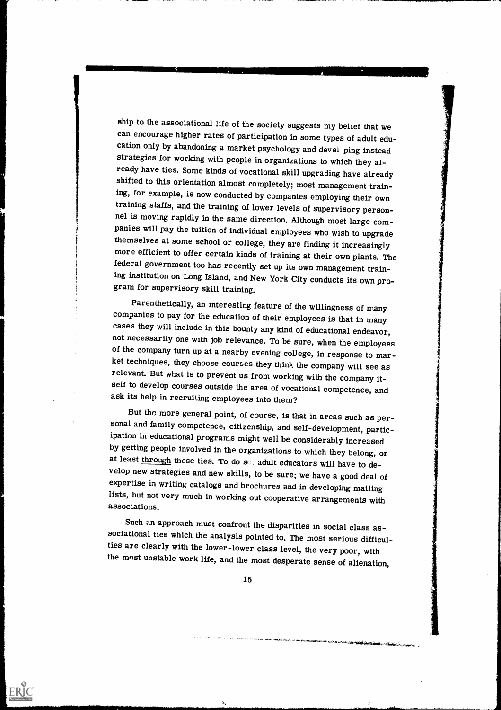ship to the associational life of the society suggests my belief that we can encourage higher rates of participation in some types of adult education only by abandoning a market psychology and devel ping instead<br>strategies for working with people in organizations to which they already have ties. Some kinds of vocational skill upgrading have already shifted to this orientation almost completely; most management training, for example, is now conducted by companies employing their own nel is moving rapidly in the same direction. Although most large companies will pay the tuition of individual employees who wish to upgrade themselves at some school or college, they are finding it increasingly more efficient to offer certain kinds of training at their own plants. The federal government too has recently set up its own management training institution on Long Island, and New York City conducts its own pro- gram for supervisory skill training.

Parenthetically, an interesting feature of the willingness of many companies to pay for the education of their employees is that in many cases they will include in this bounty any kind of educational endeavor, not necessarily one with job relevance. To be sure, when the employees<br>of the company turn up at a nearby evening college, in response to mar-<br>ket techniques, they choose courses they think the company will see as<br>relevant self to develop courses outside the area of vocational competence, and ask its help in recruiting employees into them?

But the more general point, of course, is that in areas such as per-<br>sonal and family competence, citizenship, and self-development, partic-<br>ipation in educational programs might well be considerably increased<br>by getting p at least <u>through</u> these ties. To do so, adult educators will have to de-<br>velop new strategies and new skills, to be sure; we have a good deal of expertise in writing catalogs and brochures and in developing mailing<br>lists, but not very much in working out cooperative arrangements with<br>associations.

Such an approach must confront the disparities in social class associational ties which the analysis pointed to. The most serious difficulties are clearly with the lower-lower class level, the very poor, with the most unstable work life, and the most desperate sense of alienation,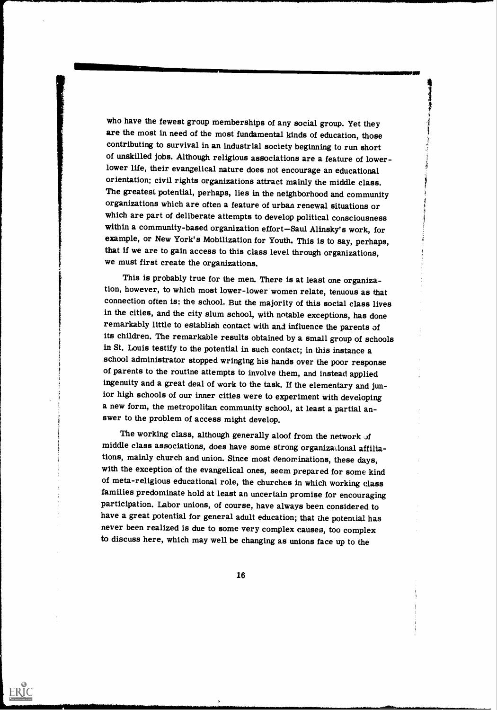who have the fewest group memberships of any social group. Yet they are the most in need of the most fundamental kinds of education, those contributing to survival in an industrial society beginning to run short of unskilled jobs. Although religious associations are a feature of lowerlower life, their evangelical nature does not encourage an educational orientation; civil rights organizations attract mainly the middle class. The greatest potential, perhaps, lies in the neighborhood and community organizations which are often a feature of urban renewal situations or which are part of deliberate attempts to develop political consciousness within a community-based organization effort-Saul Alinsky's work, for example, or New York's Mobilization for Youth. This is to say, perhaps, that if we are to gain access to this class level through organizations, we must first create the organizations.

This is probably true for the men. There is at least one organization, however, to which most lower-lower women relate, tenuous as that connection often is: the school. But the majority of this social class lives in the cities, and the city slum school, with notable exceptions, has done remarkably little to establish contact with and influence the parents of its children. The remarkable results obtained by a small group of schools in St. Louis testify to the potential in such contact; in this instance a school administrator stopped wringing his hands over the poor response of parents to the routine attempts to involve them, and instead applied ingenuity and a great deal of work to the task. If the elementary and junior high schools of our inner cities were to experiment with developing a new form, the metropolitan community school, at least a partial answer to the problem of access might develop.

The working class, although generally aloof from the network of middle class associations, does have some strong organizaional affiliations, mainly church and union. Since most denominations, these days, with the exception of the evangelical ones, seem prepared for some kind of meta-religious educational role, the churches in which working class families predominate hold at least an uncertain promise for encouraging participation. Labor unions, of course, have always been considered to have a great potential for general adult education; that the potential has never been realized is due to some very complex causes, too complex to discuss here, which may well be changing as unions face up to the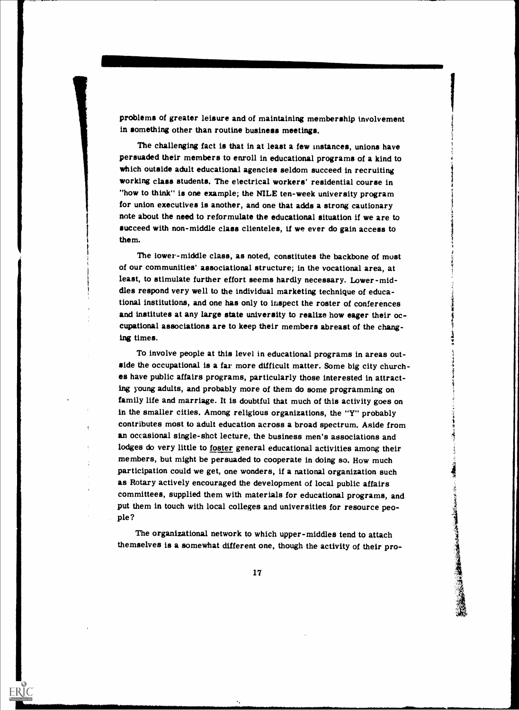problems of greater leisure and of maintaining membership involvement in something other than routine business meetings.

The challenging fact is that in at least a few instances, unions have persuaded their members to enroll in educational programs of a kind to which outside adult educational agencies seldom succeed in recruiting working class students. The electrical workers' residential course in "how to think" is one example; the NILE ten-week university program for union executives is another, and one that adds a strong cautionary note about the need to reformulate the educational situation if we are to succeed with non-middle class clienteles, if we ever do gain access to them.

The lower-middle class, as noted, constitutes the backbone of most of our communities' associational structure; in the vocational area, at least, to stimulate further effort seems hardly necessary. Lower-middles respond very well to the individual marketing technique of educational institutions, and one has only to inspect the roster of conferences and institutes at any large state university to realize how eager their occupational associations are to keep their members abreast of the changing times.

To involve people at this level in educational programs in areas outside the occupational is a far more difficult matter. Some big city churches have public affairs programs, particularly those interested in attracting young adults, and probably more of them do some programming on family life and marriage. It is doubtful that much of this activity goes on in the smaller cities. Among religious organizations, the "Y" probably contributes most to adult education across a broad spectrum. Aside from an occasional single-shct lecture, the business men's associations and lodges do very little to foster general educational activities among their members, but might be persuaded to cooperate in doing so. How much participation could we get, one wonders, if a national organization such as Rotary actively encouraged the development of local public affairs committees, supplied them with materials for educational programs, and put them in touch with local colleges and universities for resource people?

The organizational network to which upper-middles tend to attach themselves is a somewhat different one, though the activity of their pro-

17

ERIC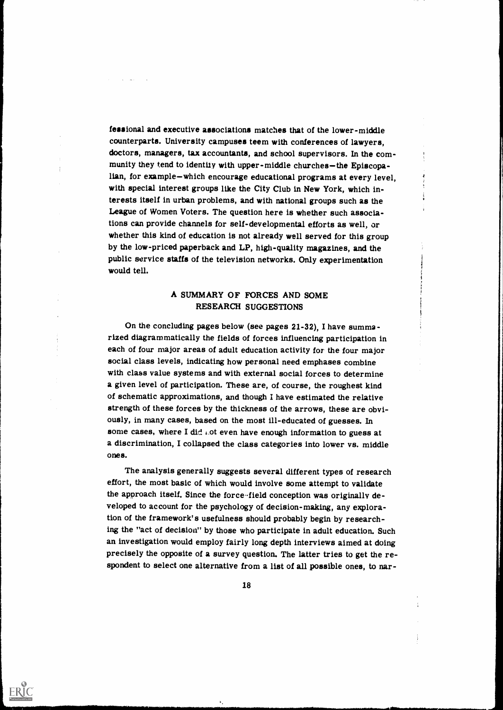fessional and executive associations matches that of the lower-middle counterparts. University campuses teem with conferences of lawyers, doctors, managers, tax accountants, and school supervisors. In the community they tend to identify with upper-middle churches-the Episcopalian, for example-which encourage educational programs at every level, with special interest groups like the City Club in New York, which interests itself in urban problems, and with national groups such as the League of Women Voters. The question here is whether such associations can provide channels for self-developmental efforts as well, or whether this kind of education is not already well served for this group by the low-priced paperback and LP, high-quality magazines, and the public service staffs of the television networks. Only experimentation would tell.

## A SUMMARY OF FORCES AND SOME RESEARCH SUGGESTIONS

On the concluding pages below (see pages 21-32), I have summarized diagrammatically the fields of forces influencing participation in each of four major areas of adult education activity for the four major social class levels, indicating how personal need emphases combine with class value systems and with external social forces to determine a given level of participation. These are, of course, the roughest kind of schematic approximations, and though I have estimated the relative strength of these forces by the thickness of the arrows, these are obviously, in many cases, based on the most ill-educated of guesses. In some cases, where I did not even have enough information to guess at a discrimination, I collapsed the class categories into lower vs. middle ones.

The analysis generally suggests several different types of research effort, the most basic of which would involve some attempt to validate the approach itself. Since the force-field conception was originally developed to account for the psychology of decision-making, any exploration of the framework's usefulness should probably begin by researching the "act of decision" by those who participate in adult education. Such an investigation would employ fairly long depth interviews aimed at doing precisely the opposite of a survey question. The latter tries to get the respondent to select one alternative from a list of all possible ones, to nar-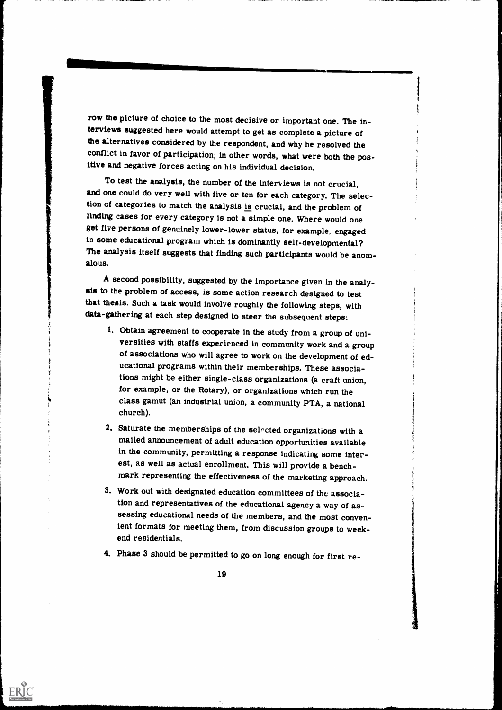row the picture of choice to the most decisive or important one. The interviews suggested here would attempt to get as complete a picture of the alternatives considered by the respondent, and why he resolved the conflict in favor of participation; in other words, what were both the positive and negative forces acting on his individual decision.

To test the analysis, the number of the interviews is not crucial, and one could do very well with five or ten for each category. The selection of categories to match the analysis is crucial, and the problem of finding cases for every category is not a simple one. Where would one get five persons of genuinely lower-lower status, for example, engaged in some educational program which is dominantly self-developmental? The analysis itself suggests that finding such participants would be anomalous.

A second possibility, suggested by the importance given in the analysis to the problem of access, is some action research designed to test that thesis. Such a task would involve roughly the following steps, with data-gathering at each step designed to steer the subsequent steps:

- 1. Obtain agreement to cooperate in the study from a group of universities with staffs experienced in community work and a group of associations who will agree to work on the development of educational programs within their memberships. These associations might be either single-class organizations (a craft union, for example, or the Rotary), or organizations which run the class gamut (an industrial union, a community PTA, a national church).
- 2. Saturate the memberships of the selected organizations with a mailed announcement of adult education opportunities available in the community, permitting a response indicating some interest, as well as actual enrollment. This will provide a benchmark representing the effectiveness of the marketing approach.
- 3. Work out with designated education committees of the association and representatives of the educational agency a way of assessing educational needs of the members, and the most convenient formats for meeting them, from discussion groups to weekend residentials.
- 4. Phase 3 should be permitted to go on long enough for first re-

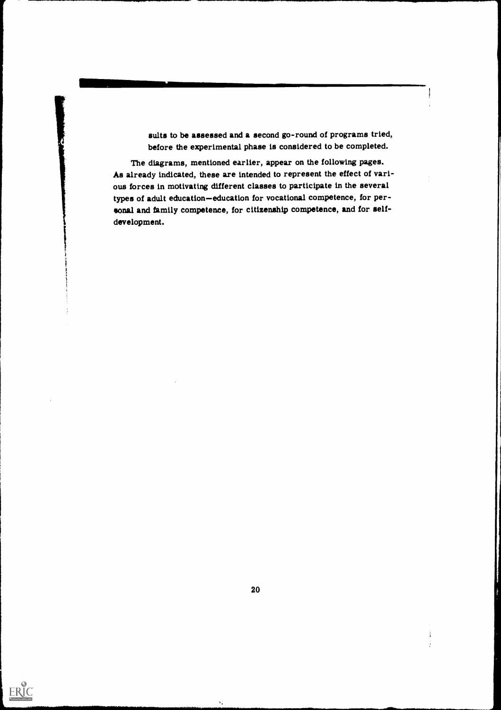sults to be assessed and a second go-round of programs tried, before the experimental phase is considered to be completed.

The diagrams, mentioned earlier, appear on the following pages. As already indicated, these are intended to represent the effect of various forces in motivating different classes to participate in the several types of adult education-education for vocational competence, for personal and family competence, for citizenship competence, and for selfdevelopment.

۰.

ERIC

 $\frac{d}{2}$ ÷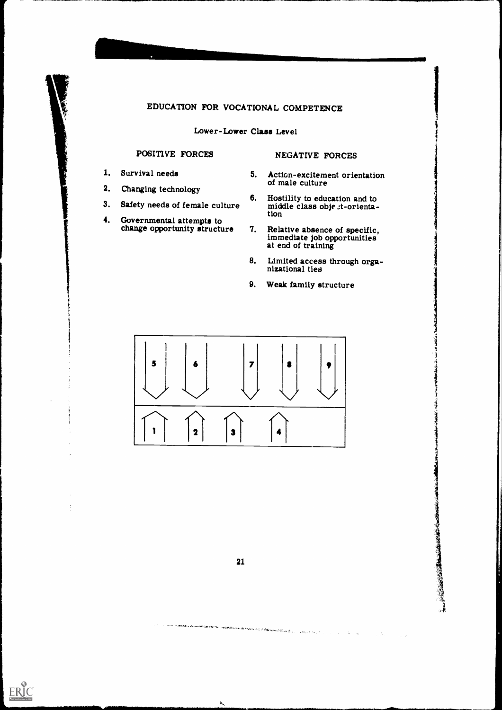# EDUCATION FOR VOCATIONAL COMPETENCE

Lower-Lower Class Level

## POSITIVE FORCES

1. Survival needs

 $\sum_{\mathcal{A}_{\text{full fact.} \text{Product by EBC}}}$ 

- 2. Changing technology
- 3. Safety needs of female culture
- 4. Governmental attempts to<br>change opportunity structure 7. change opportunity structure
- NEGATIVE FORCES
- Action-excitement orientation of male culture
- 6. Hostility to education and to middle class obje :t-orientation
- Relative absence of specific, immediate job opportunities at end of training
- 8. Limited access through orga- nizational ties

 $\sim 100$ 

 $\sim 10^{10}$  kg  $M_{\odot}$ 

9. Weak family structure





 $\mathbf{h}_\mathbf{u}$ 

 $\theta$ k medakk $\pi$ lahan di kegangan S $\pi$ d digi asaw Salas di  $\tau$  , we see  $\eta$  as  $\tau^*$  , we want to be a set of  $\pi$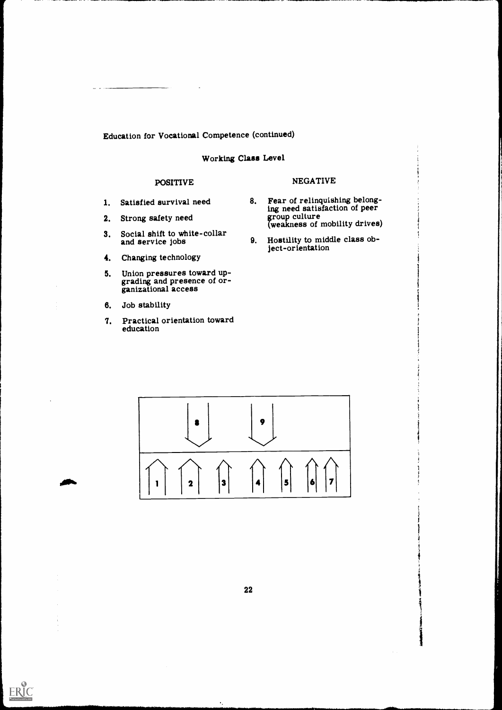Education for Vocational Competence (continued)

#### Working Class Level

#### POSITIVE

## NEGATIVE

- 1. Satisfied survival need
- 2. Strong safety need
- 3. Social shift to white-collar and service jobs
- 4. Changing technology
- 5. Union pressures toward up-<br>grading and presence of or-<br>ganizational access
- 6. Job stability

ERIC

7. Practical orientation toward education

- Fear of relinquishing belong-<br>ing need satisfaction of peer ing need satisfaction of peer group culture (weakness of mobility drives)
- 9. Hostility to middle class object-orientation

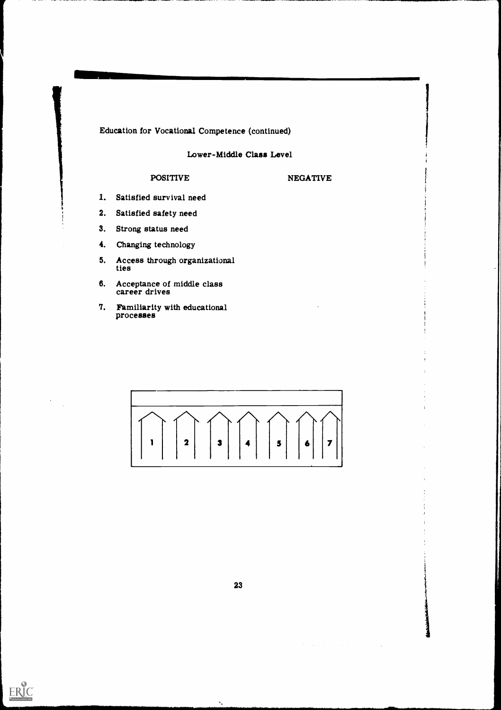Education for Vocational Competence (continued)

### Lower-Middle Class Level

### POSITIVE NEGATIVE

Ċ

- I. Satisfied survival need
- 2. Satisfied safety need
- 3. Strong status need
- 4. Changing technology
- 5. Access through organizational ties
- 6. Acceptance of middle class career drives
- 7. Familiarity with educational processes



 $\tilde{\mathcal{A}}$  ,  $\tilde{\mathcal{A}}$ 

 $\hat{\theta}$ 

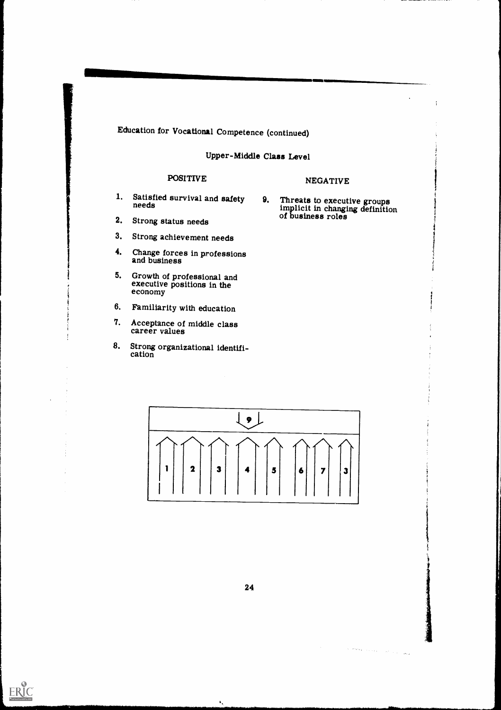Education for Vocational Competence (continued)

# Upper-Middle Class Level

#### POSITIVE

#### NEGATIVE

9. Threats to executive groups

implicit in changing definition of business roles

ţ

- 1. Satisfied survival and safety 9. Th needs
- 2. Strong status needs
- 3. Strong achievement needs
- 4. Change forces in professions and business
- 5. Growth of professional and executive positions in the economy
- 6. Familiarity with education
- 7. Acceptance of<br>career values Acceptance of middle class
- 8. Strong organizational identifi- cation

ERIC



24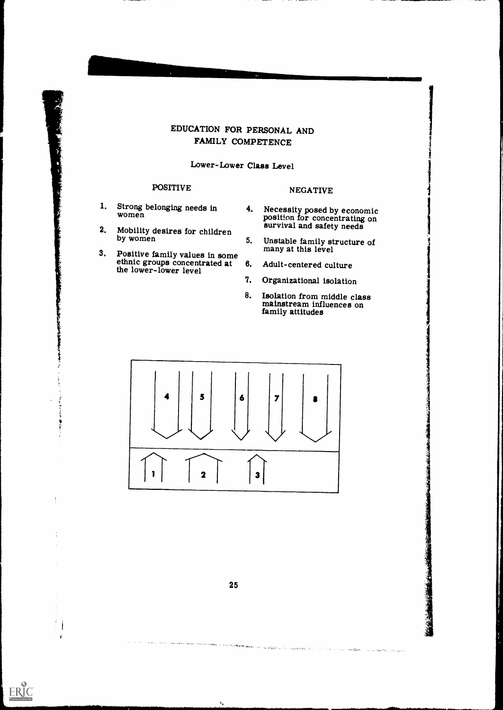# EDUCATION FOR PERSONAL AND FAMILY COMPETENCE

## Lower-Lower Class Level

#### POSITIVE

### NEGATIVE

1. Strong belonging needs in women

**The Second Property of the Company of the Company of the Company of the Company of the Company of the Company of the Company of the Company of the Company of the Company of the Company of the Company of the Company of the** 

ERIC

- 2. Mobility desires for children by women
- 3. Positive family values in some ethnic groups concentrated at 6.<br>the lower-lower level
- 4. Necessity posed by economic<br>position for concentrating on<br>musical on survival and safety needs
- 5. Unstable family structure of many at this level
	- 6. Adult-centered culture
	- 7. Organizational isolation

المرائمهم لاءفتها

 $\mathcal{L}_{\mathcal{F}} = \left( \begin{smallmatrix} \mathcal{M}_{\mathcal{F}} & \mathcal{M}_{\mathcal{F}} \\ \mathcal{M}_{\mathcal{F}} & \mathcal{M}_{\mathcal{F}} \end{smallmatrix} \right) \mathcal{L}_{\mathcal{F}} \mathcal{L}_{\mathcal{F}}$ 

 $17.269 \pm 0.000$ 

8. Isolation from middle class mainstream influences on family attitudes



25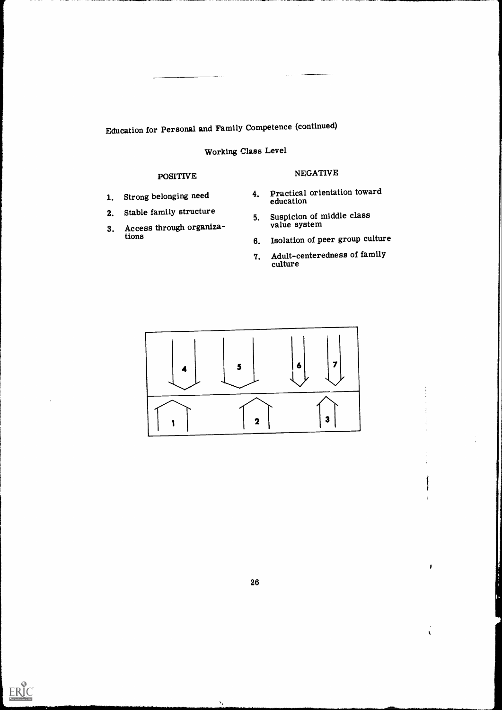Education for Personal and Family Competence (continued)

Working Class Level

# POSITIVE NEGATIVE

- 1. Strong belonging need 4. Practical orientation toward
- 2. Stable family structure 5.
- 3. Access through organizations
- 5. Suspicion of middle class value system

education

- 6. Isolation of peer group culture
- 7. Adult-centeredness of family culture

 $\pmb{\prime}$ 

 $\bar{\mathbf{r}}$ 





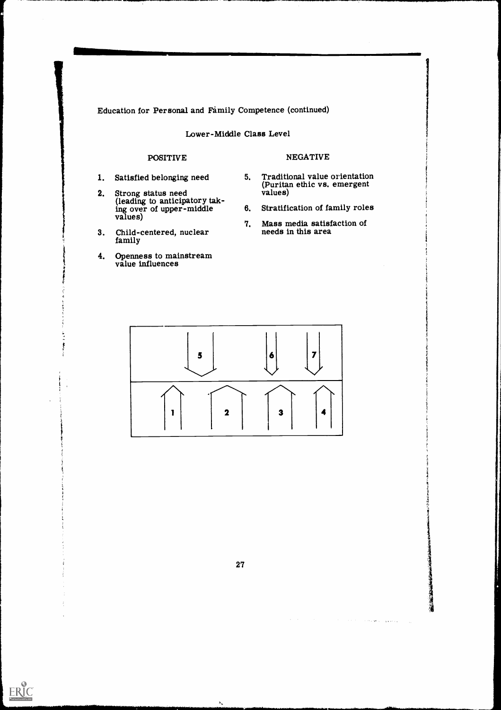Education for Personal and Family Competence (continued)

Lower-Middle Class Level

#### POSITIVE

### NEGATIVE

- 1. Satisfied belonging need
- 2. Strong status need (leading to anticipatory taking over of upper-middle 6.<br>values)
- 3. Child-centered, nuclear family
- 4. Openness to mainstream value influences

 $\frac{3}{\epsilon}$ 

 $\sum_{\lambda \text{full}} \sum_{\text{Euclidean}}$ 

- Traditional value orientation (Puritan ethic vs. emergent values)
- 6. Stratification of family roles
- 7. Mass media satisfaction of needs in this area



27

爆爆

 $\Delta$  and  $\Delta$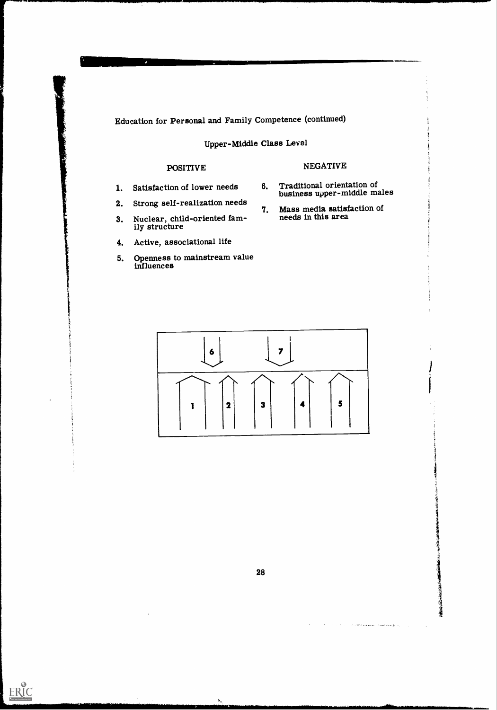Education for Personal and Family Competence (continued)

## Upper-Middle Class Level

#### POSITIVE

#### NEGATIVE

- 1. Satisfaction of lower needs
- 2. Strong self-realization needs 7.
- 3. Nuclear, child-oriented family structure
- 4. Active, associational life

 $\bar{\mathcal{A}}$ 

 $\sum_{\lambda_{\text{full heat}}}\sum_{\text{Feu}}$ 

- 5. Openness to mainstream value influences
- 6. Traditional orientation of business upper-middle males
- 7. Mass media satisfaction of needs in this area





大きくのこと

 $\sigma \sim 0.99\ \mathrm{GeV} \ \mathrm{d} \times \mathrm{d} \omega = -5.006 \ \mathrm{GeV} \ \mathrm{d} \omega = 0 \,,$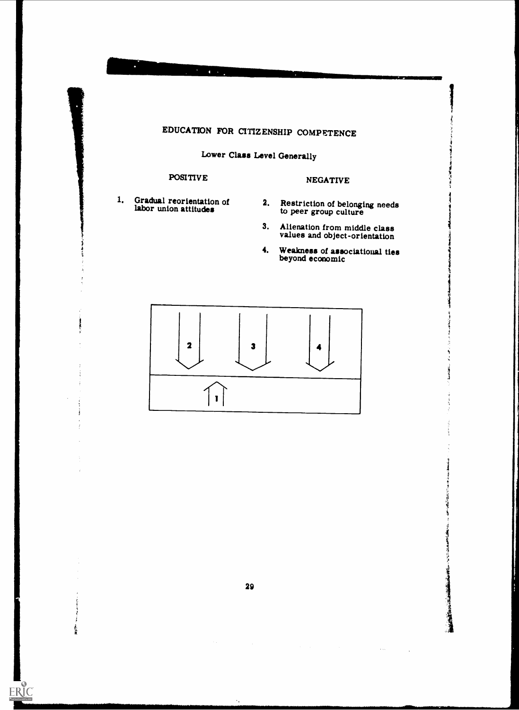# EDUCATION FOR CITIZENSHIP COMPETENCE

# Lower Class Level Generally

# POSITIVE NEGATIVE

1. Gradual reorientation of

 $\epsilon$ 

ERIC

- labor union attitudes 2. Restriction of belonging needs to peer group culture
	- 3. Alienation from middle class values and object-orientation
	- 4. Weakness of associational ties beyond economic

**MARK** 

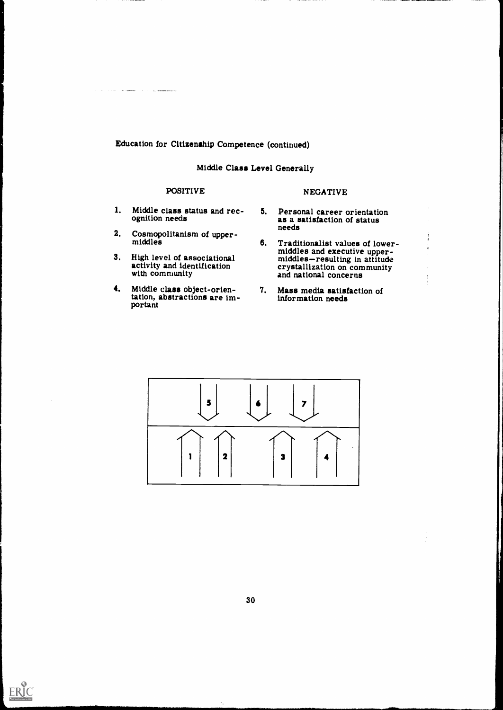# Education for Citizenship Competence (continued)

## Middle Class Level Generally

#### POSITIVE

#### NEGATIVE

1. Middle class status and recognition needs

 $\hat{\mathcal{L}}$  .

 $\mathcal{L}$  and the contract of the contract of  $\mathcal{L}$ 

- 2. Cosmopolitanism of upper-<br>middles 6.
- 3. High level of associational activity and identification with community
- 4. Middle class object-orientation, abstractions are important
- 5. Personal career orientation as a satisfaction of status needs
- Traditionalist values of lower-<br>middles and executive uppermiddles and executive upper-<br>middles-resulting in attitude crystallization on community and national concerns

Y

7. Mass media satisfaction of information needs





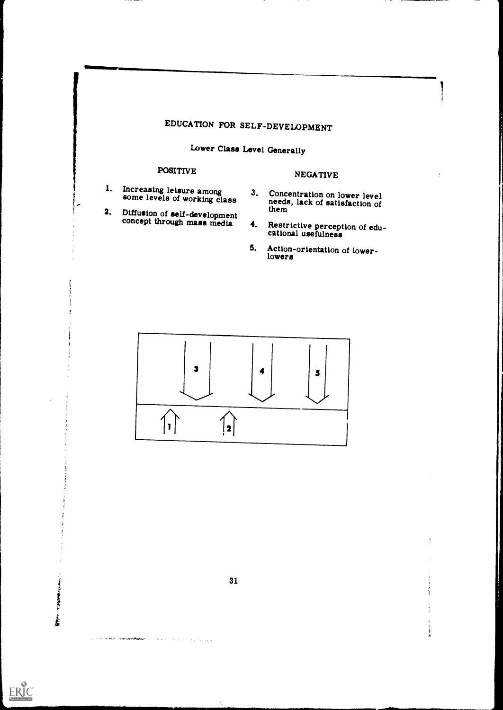

Lower Class Level Generally

### POSITIVE

## NEGATIVE

- 1. Increasing leisure among 3. Conce<br>
some levels of working class needs<br>
2. Diffusion of solt is a set of them
- 2. Diffusion of self-development<br>concept through mass media 4.
- Concentration on lower level<br>needs, lack of satisfaction of
	- Restrictive perception of edu-<br>cational usefulness
	- 5. Action-orientation of lower- lowers







また 三度